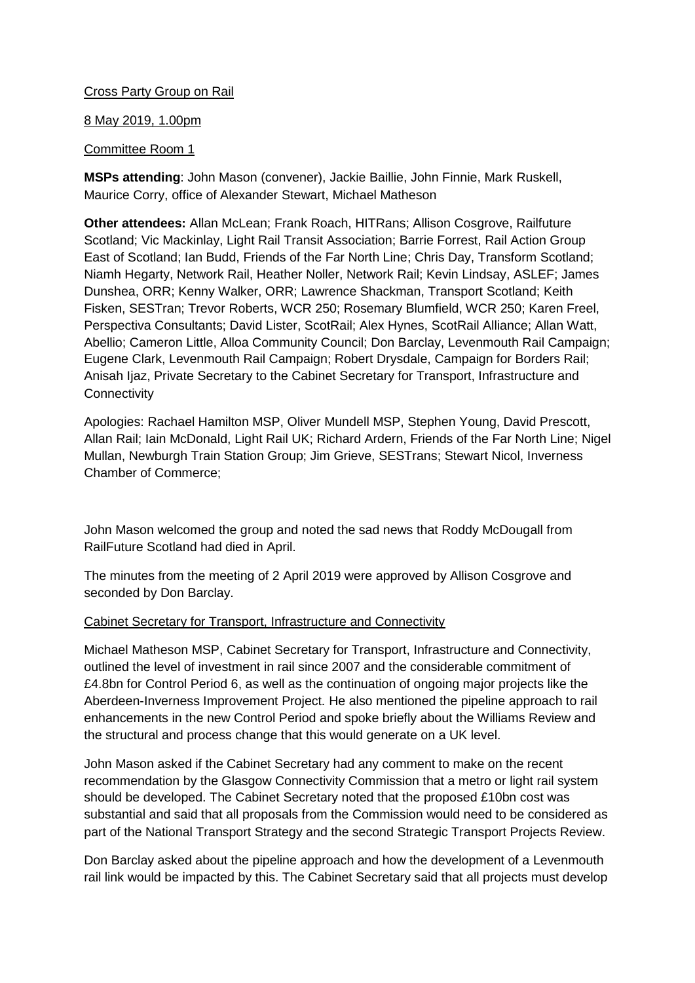# Cross Party Group on Rail

### 8 May 2019, 1.00pm

# Committee Room 1

**MSPs attending**: John Mason (convener), Jackie Baillie, John Finnie, Mark Ruskell, Maurice Corry, office of Alexander Stewart, Michael Matheson

**Other attendees:** Allan McLean; Frank Roach, HITRans; Allison Cosgrove, Railfuture Scotland; Vic Mackinlay, Light Rail Transit Association; Barrie Forrest, Rail Action Group East of Scotland; Ian Budd, Friends of the Far North Line; Chris Day, Transform Scotland; Niamh Hegarty, Network Rail, Heather Noller, Network Rail; Kevin Lindsay, ASLEF; James Dunshea, ORR; Kenny Walker, ORR; Lawrence Shackman, Transport Scotland; Keith Fisken, SESTran; Trevor Roberts, WCR 250; Rosemary Blumfield, WCR 250; Karen Freel, Perspectiva Consultants; David Lister, ScotRail; Alex Hynes, ScotRail Alliance; Allan Watt, Abellio; Cameron Little, Alloa Community Council; Don Barclay, Levenmouth Rail Campaign; Eugene Clark, Levenmouth Rail Campaign; Robert Drysdale, Campaign for Borders Rail; Anisah Ijaz, Private Secretary to the Cabinet Secretary for Transport, Infrastructure and **Connectivity** 

Apologies: Rachael Hamilton MSP, Oliver Mundell MSP, Stephen Young, David Prescott, Allan Rail; Iain McDonald, Light Rail UK; Richard Ardern, Friends of the Far North Line; Nigel Mullan, Newburgh Train Station Group; Jim Grieve, SESTrans; Stewart Nicol, Inverness Chamber of Commerce;

John Mason welcomed the group and noted the sad news that Roddy McDougall from RailFuture Scotland had died in April.

The minutes from the meeting of 2 April 2019 were approved by Allison Cosgrove and seconded by Don Barclay.

### Cabinet Secretary for Transport, Infrastructure and Connectivity

Michael Matheson MSP, Cabinet Secretary for Transport, Infrastructure and Connectivity, outlined the level of investment in rail since 2007 and the considerable commitment of £4.8bn for Control Period 6, as well as the continuation of ongoing major projects like the Aberdeen-Inverness Improvement Project. He also mentioned the pipeline approach to rail enhancements in the new Control Period and spoke briefly about the Williams Review and the structural and process change that this would generate on a UK level.

John Mason asked if the Cabinet Secretary had any comment to make on the recent recommendation by the Glasgow Connectivity Commission that a metro or light rail system should be developed. The Cabinet Secretary noted that the proposed £10bn cost was substantial and said that all proposals from the Commission would need to be considered as part of the National Transport Strategy and the second Strategic Transport Projects Review.

Don Barclay asked about the pipeline approach and how the development of a Levenmouth rail link would be impacted by this. The Cabinet Secretary said that all projects must develop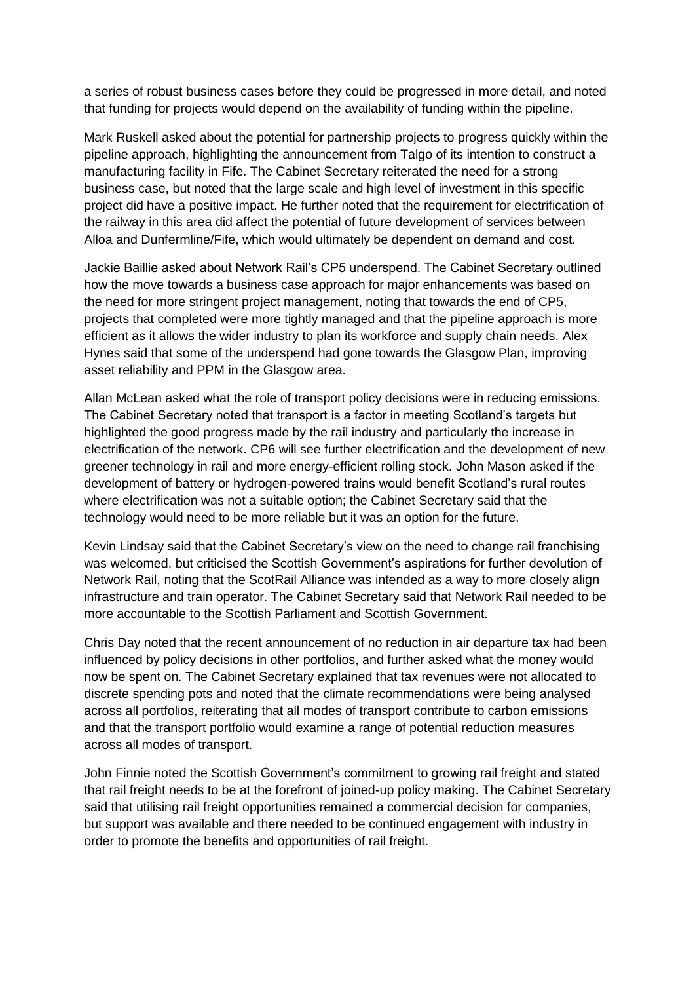a series of robust business cases before they could be progressed in more detail, and noted that funding for projects would depend on the availability of funding within the pipeline.

Mark Ruskell asked about the potential for partnership projects to progress quickly within the pipeline approach, highlighting the announcement from Talgo of its intention to construct a manufacturing facility in Fife. The Cabinet Secretary reiterated the need for a strong business case, but noted that the large scale and high level of investment in this specific project did have a positive impact. He further noted that the requirement for electrification of the railway in this area did affect the potential of future development of services between Alloa and Dunfermline/Fife, which would ultimately be dependent on demand and cost.

Jackie Baillie asked about Network Rail's CP5 underspend. The Cabinet Secretary outlined how the move towards a business case approach for major enhancements was based on the need for more stringent project management, noting that towards the end of CP5, projects that completed were more tightly managed and that the pipeline approach is more efficient as it allows the wider industry to plan its workforce and supply chain needs. Alex Hynes said that some of the underspend had gone towards the Glasgow Plan, improving asset reliability and PPM in the Glasgow area.

Allan McLean asked what the role of transport policy decisions were in reducing emissions. The Cabinet Secretary noted that transport is a factor in meeting Scotland's targets but highlighted the good progress made by the rail industry and particularly the increase in electrification of the network. CP6 will see further electrification and the development of new greener technology in rail and more energy-efficient rolling stock. John Mason asked if the development of battery or hydrogen-powered trains would benefit Scotland's rural routes where electrification was not a suitable option; the Cabinet Secretary said that the technology would need to be more reliable but it was an option for the future.

Kevin Lindsay said that the Cabinet Secretary's view on the need to change rail franchising was welcomed, but criticised the Scottish Government's aspirations for further devolution of Network Rail, noting that the ScotRail Alliance was intended as a way to more closely align infrastructure and train operator. The Cabinet Secretary said that Network Rail needed to be more accountable to the Scottish Parliament and Scottish Government.

Chris Day noted that the recent announcement of no reduction in air departure tax had been influenced by policy decisions in other portfolios, and further asked what the money would now be spent on. The Cabinet Secretary explained that tax revenues were not allocated to discrete spending pots and noted that the climate recommendations were being analysed across all portfolios, reiterating that all modes of transport contribute to carbon emissions and that the transport portfolio would examine a range of potential reduction measures across all modes of transport.

John Finnie noted the Scottish Government's commitment to growing rail freight and stated that rail freight needs to be at the forefront of joined-up policy making. The Cabinet Secretary said that utilising rail freight opportunities remained a commercial decision for companies, but support was available and there needed to be continued engagement with industry in order to promote the benefits and opportunities of rail freight.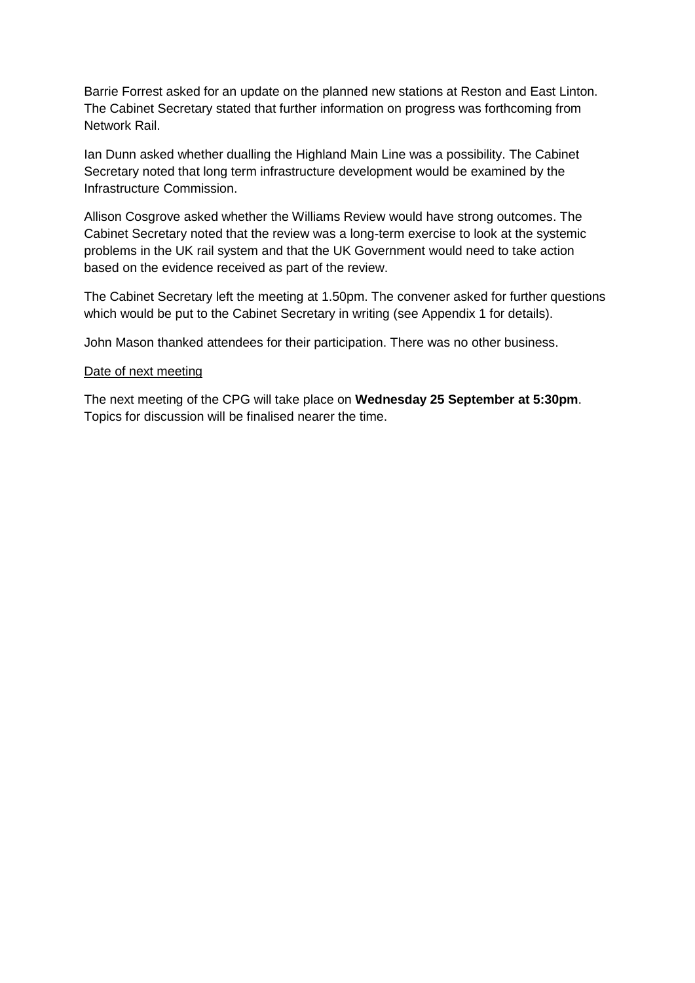Barrie Forrest asked for an update on the planned new stations at Reston and East Linton. The Cabinet Secretary stated that further information on progress was forthcoming from Network Rail.

Ian Dunn asked whether dualling the Highland Main Line was a possibility. The Cabinet Secretary noted that long term infrastructure development would be examined by the Infrastructure Commission.

Allison Cosgrove asked whether the Williams Review would have strong outcomes. The Cabinet Secretary noted that the review was a long-term exercise to look at the systemic problems in the UK rail system and that the UK Government would need to take action based on the evidence received as part of the review.

The Cabinet Secretary left the meeting at 1.50pm. The convener asked for further questions which would be put to the Cabinet Secretary in writing (see Appendix 1 for details).

John Mason thanked attendees for their participation. There was no other business.

#### Date of next meeting

The next meeting of the CPG will take place on **Wednesday 25 September at 5:30pm**. Topics for discussion will be finalised nearer the time.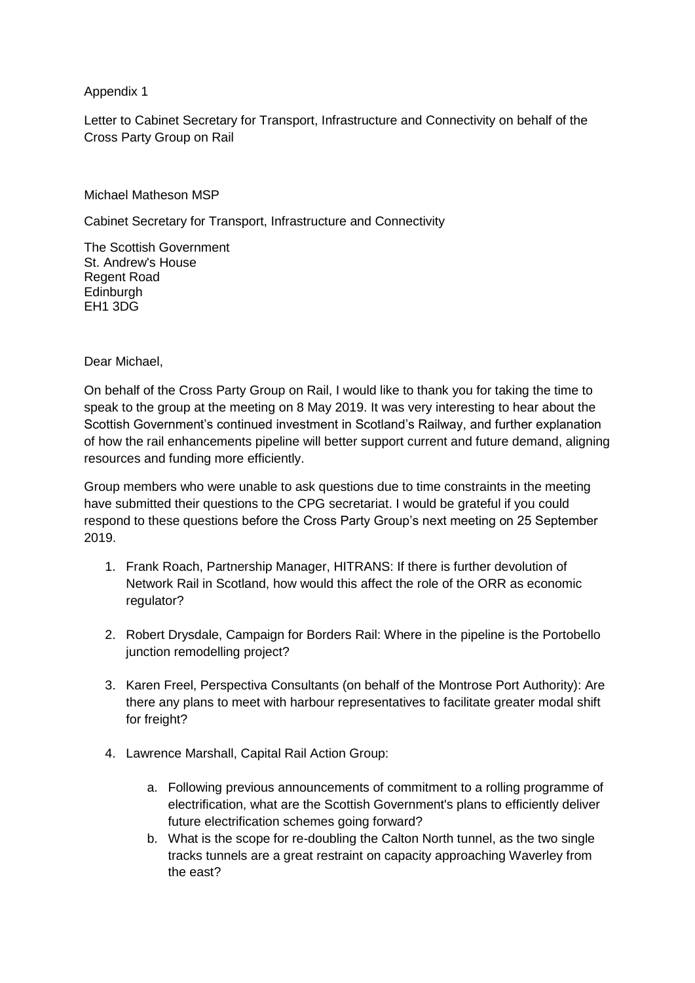# Appendix 1

Letter to Cabinet Secretary for Transport, Infrastructure and Connectivity on behalf of the Cross Party Group on Rail

Michael Matheson MSP

Cabinet Secretary for Transport, Infrastructure and Connectivity

The Scottish Government St. Andrew's House Regent Road Edinburgh EH1 3DG

Dear Michael,

On behalf of the Cross Party Group on Rail, I would like to thank you for taking the time to speak to the group at the meeting on 8 May 2019. It was very interesting to hear about the Scottish Government's continued investment in Scotland's Railway, and further explanation of how the rail enhancements pipeline will better support current and future demand, aligning resources and funding more efficiently.

Group members who were unable to ask questions due to time constraints in the meeting have submitted their questions to the CPG secretariat. I would be grateful if you could respond to these questions before the Cross Party Group's next meeting on 25 September 2019.

- 1. Frank Roach, Partnership Manager, HITRANS: If there is further devolution of Network Rail in Scotland, how would this affect the role of the ORR as economic regulator?
- 2. Robert Drysdale, Campaign for Borders Rail: Where in the pipeline is the Portobello junction remodelling project?
- 3. Karen Freel, Perspectiva Consultants (on behalf of the Montrose Port Authority): Are there any plans to meet with harbour representatives to facilitate greater modal shift for freight?
- 4. Lawrence Marshall, Capital Rail Action Group:
	- a. Following previous announcements of commitment to a rolling programme of electrification, what are the Scottish Government's plans to efficiently deliver future electrification schemes going forward?
	- b. What is the scope for re-doubling the Calton North tunnel, as the two single tracks tunnels are a great restraint on capacity approaching Waverley from the east?